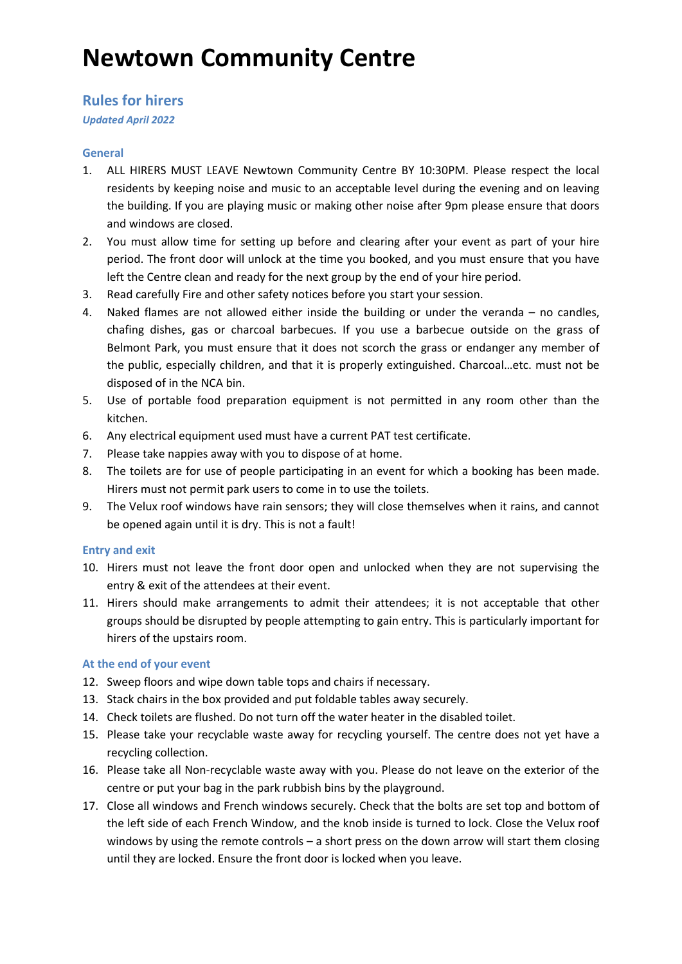# **Newtown Community Centre**

# **Rules for hirers**

*Updated April 2022*

## **General**

- 1. ALL HIRERS MUST LEAVE Newtown Community Centre BY 10:30PM. Please respect the local residents by keeping noise and music to an acceptable level during the evening and on leaving the building. If you are playing music or making other noise after 9pm please ensure that doors and windows are closed.
- 2. You must allow time for setting up before and clearing after your event as part of your hire period. The front door will unlock at the time you booked, and you must ensure that you have left the Centre clean and ready for the next group by the end of your hire period.
- 3. Read carefully Fire and other safety notices before you start your session.
- 4. Naked flames are not allowed either inside the building or under the veranda no candles, chafing dishes, gas or charcoal barbecues. If you use a barbecue outside on the grass of Belmont Park, you must ensure that it does not scorch the grass or endanger any member of the public, especially children, and that it is properly extinguished. Charcoal…etc. must not be disposed of in the NCA bin.
- 5. Use of portable food preparation equipment is not permitted in any room other than the kitchen.
- 6. Any electrical equipment used must have a current PAT test certificate.
- 7. Please take nappies away with you to dispose of at home.
- 8. The toilets are for use of people participating in an event for which a booking has been made. Hirers must not permit park users to come in to use the toilets.
- 9. The Velux roof windows have rain sensors; they will close themselves when it rains, and cannot be opened again until it is dry. This is not a fault!

## **Entry and exit**

- 10. Hirers must not leave the front door open and unlocked when they are not supervising the entry & exit of the attendees at their event.
- 11. Hirers should make arrangements to admit their attendees; it is not acceptable that other groups should be disrupted by people attempting to gain entry. This is particularly important for hirers of the upstairs room.

# **At the end of your event**

- 12. Sweep floors and wipe down table tops and chairs if necessary.
- 13. Stack chairs in the box provided and put foldable tables away securely.
- 14. Check toilets are flushed. Do not turn off the water heater in the disabled toilet.
- 15. Please take your recyclable waste away for recycling yourself. The centre does not yet have a recycling collection.
- 16. Please take all Non-recyclable waste away with you. Please do not leave on the exterior of the centre or put your bag in the park rubbish bins by the playground.
- 17. Close all windows and French windows securely. Check that the bolts are set top and bottom of the left side of each French Window, and the knob inside is turned to lock. Close the Velux roof windows by using the remote controls – a short press on the down arrow will start them closing until they are locked. Ensure the front door is locked when you leave.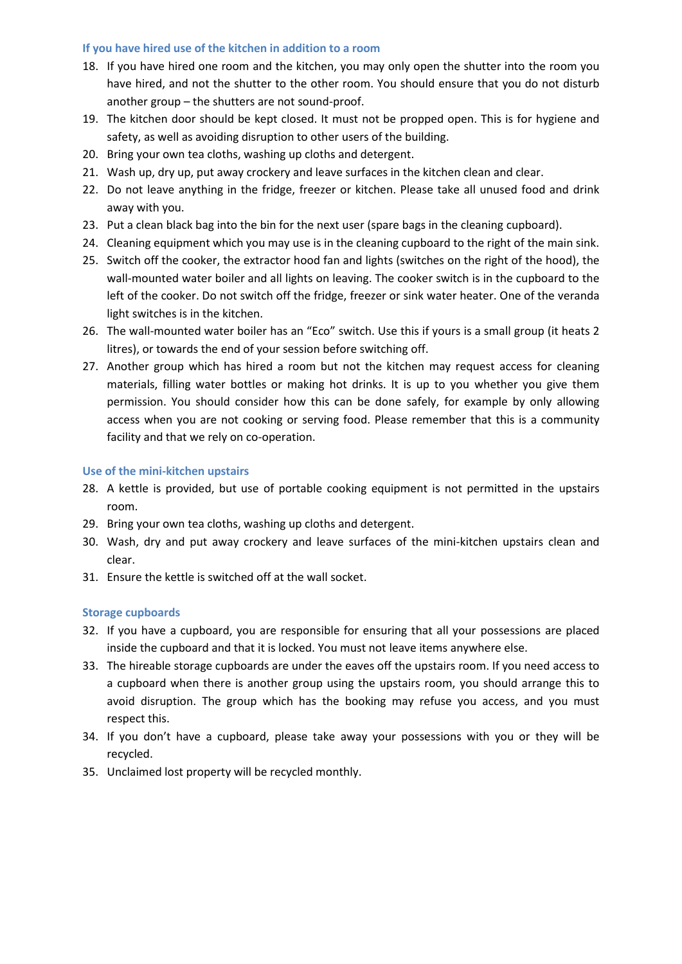#### **If you have hired use of the kitchen in addition to a room**

- 18. If you have hired one room and the kitchen, you may only open the shutter into the room you have hired, and not the shutter to the other room. You should ensure that you do not disturb another group – the shutters are not sound-proof.
- 19. The kitchen door should be kept closed. It must not be propped open. This is for hygiene and safety, as well as avoiding disruption to other users of the building.
- 20. Bring your own tea cloths, washing up cloths and detergent.
- 21. Wash up, dry up, put away crockery and leave surfaces in the kitchen clean and clear.
- 22. Do not leave anything in the fridge, freezer or kitchen. Please take all unused food and drink away with you.
- 23. Put a clean black bag into the bin for the next user (spare bags in the cleaning cupboard).
- 24. Cleaning equipment which you may use is in the cleaning cupboard to the right of the main sink.
- 25. Switch off the cooker, the extractor hood fan and lights (switches on the right of the hood), the wall-mounted water boiler and all lights on leaving. The cooker switch is in the cupboard to the left of the cooker. Do not switch off the fridge, freezer or sink water heater. One of the veranda light switches is in the kitchen.
- 26. The wall-mounted water boiler has an "Eco" switch. Use this if yours is a small group (it heats 2 litres), or towards the end of your session before switching off.
- 27. Another group which has hired a room but not the kitchen may request access for cleaning materials, filling water bottles or making hot drinks. It is up to you whether you give them permission. You should consider how this can be done safely, for example by only allowing access when you are not cooking or serving food. Please remember that this is a community facility and that we rely on co-operation.

#### **Use of the mini-kitchen upstairs**

- 28. A kettle is provided, but use of portable cooking equipment is not permitted in the upstairs room.
- 29. Bring your own tea cloths, washing up cloths and detergent.
- 30. Wash, dry and put away crockery and leave surfaces of the mini-kitchen upstairs clean and clear.
- 31. Ensure the kettle is switched off at the wall socket.

#### **Storage cupboards**

- 32. If you have a cupboard, you are responsible for ensuring that all your possessions are placed inside the cupboard and that it is locked. You must not leave items anywhere else.
- 33. The hireable storage cupboards are under the eaves off the upstairs room. If you need access to a cupboard when there is another group using the upstairs room, you should arrange this to avoid disruption. The group which has the booking may refuse you access, and you must respect this.
- 34. If you don't have a cupboard, please take away your possessions with you or they will be recycled.
- 35. Unclaimed lost property will be recycled monthly.